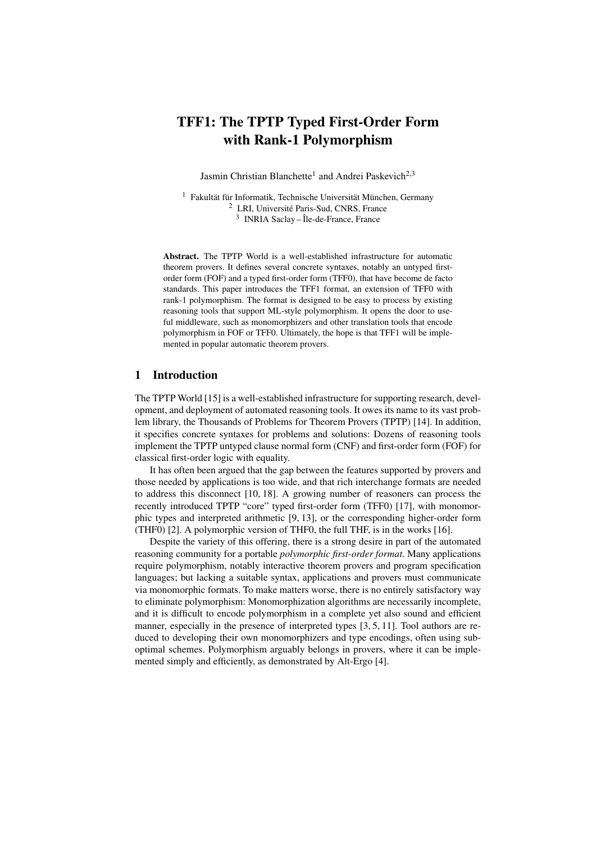# TFF1: The TPTP Typed First-Order Form with Rank-1 Polymorphism

Jasmin Christian Blanchette<sup>1</sup> and Andrei Paskevich<sup>2,3</sup>

<sup>1</sup> Fakultät für Informatik, Technische Universität München, Germany <sup>2</sup> LRI, Université Paris-Sud, CNRS, France 3 INRIA Saclay – Île-de-France, France

Abstract. The TPTP World is a well-established infrastructure for automatic theorem provers. It defines several concrete syntaxes, notably an untyped firstorder form (FOF) and a typed first-order form (TFF0), that have become de facto standards. This paper introduces the TFF1 format, an extension of TFF0 with rank-1 polymorphism. The format is designed to be easy to process by existing reasoning tools that support ML-style polymorphism. It opens the door to useful middleware, such as monomorphizers and other translation tools that encode polymorphism in FOF or TFF0. Ultimately, the hope is that TFF1 will be implemented in popular automatic theorem provers.

#### 1 Introduction

The TPTP World [15] is a well-established infrastructure for supporting research, development, and deployment of automated reasoning tools. It owes its name to its vast problem library, the Thousands of Problems for Theorem Provers (TPTP) [14]. In addition, it specifies concrete syntaxes for problems and solutions: Dozens of reasoning tools implement the TPTP untyped clause normal form (CNF) and first-order form (FOF) for classical first-order logic with equality.

It has often been argued that the gap between the features supported by provers and those needed by applications is too wide, and that rich interchange formats are needed to address this disconnect [10, 18]. A growing number of reasoners can process the recently introduced TPTP "core" typed first-order form (TFF0) [17], with monomorphic types and interpreted arithmetic [9, 13], or the corresponding higher-order form (THF0) [2]. A polymorphic version of THF0, the full THF, is in the works [16].

Despite the variety of this offering, there is a strong desire in part of the automated reasoning community for a portable *polymorphic first-order format.* Many applications require polymorphism, notably interactive theorem provers and program specification languages; but lacking a suitable syntax, applications and provers must communicate via monomorphic formats. To make matters worse, there is no entirely satisfactory way to eliminate polymorphism: Monomorphization algorithms are necessarily incomplete, and it is difficult to encode polymorphism in a complete yet also sound and efficient manner, especially in the presence of interpreted types [3, 5, 11]. Tool authors are reduced to developing their own monomorphizers and type encodings, often using suboptimal schemes. Polymorphism arguably belongs in provers, where it can be implemented simply and efficiently, as demonstrated by Alt-Ergo [4].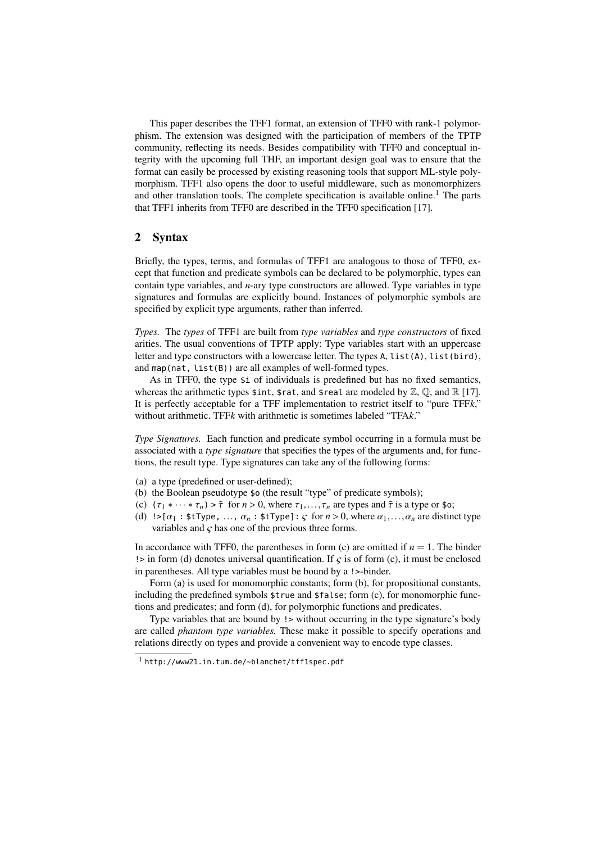This paper describes the TFF1 format, an extension of TFF0 with rank-1 polymorphism. The extension was designed with the participation of members of the TPTP community, reflecting its needs. Besides compatibility with TFF0 and conceptual integrity with the upcoming full THF, an important design goal was to ensure that the format can easily be processed by existing reasoning tools that support ML-style polymorphism. TFF1 also opens the door to useful middleware, such as monomorphizers and other translation tools. The complete specification is available online.<sup>1</sup> The parts that TFF1 inherits from TFF0 are described in the TFF0 specification [17].

## 2 Syntax

Briefly, the types, terms, and formulas of TFF1 are analogous to those of TFF0, except that function and predicate symbols can be declared to be polymorphic, types can contain type variables, and *n*-ary type constructors are allowed. Type variables in type signatures and formulas are explicitly bound. Instances of polymorphic symbols are specified by explicit type arguments, rather than inferred.

*Types.* The *types* of TFF1 are built from *type variables* and *type constructors* of fixed arities. The usual conventions of TPTP apply: Type variables start with an uppercase letter and type constructors with a lowercase letter. The types A, list(A), list(bird), and map(nat, list(B)) are all examples of well-formed types.

As in TFF0, the type \$i of individuals is predefined but has no fixed semantics, whereas the arithmetic types  $\frac{1}{2}$  int,  $\frac{1}{2}$ rat, and  $\frac{1}{2}$ real are modeled by  $\mathbb{Z}, \mathbb{Q}$ , and  $\mathbb{R}$  [17]. It is perfectly acceptable for a TFF implementation to restrict itself to "pure TFF*k*," without arithmetic. TFF*k* with arithmetic is sometimes labeled "TFA*k*."

*Type Signatures.* Each function and predicate symbol occurring in a formula must be associated with a *type signature* that specifies the types of the arguments and, for functions, the result type. Type signatures can take any of the following forms:

- (a) a type (predefined or user-defined);
- (b) the Boolean pseudotype \$o (the result "type" of predicate symbols);
- (c)  $(\tau_1 * \cdots * \tau_n) > \tilde{\tau}$  for  $n > 0$ , where  $\tau_1, \ldots, \tau_n$  are types and  $\tilde{\tau}$  is a type or \$0;
- (d)  $! > [\alpha_1 : \text{stType}, \dots, \alpha_n : \text{stType}] : \varsigma \text{ for } n > 0, \text{ where } \alpha_1, \dots, \alpha_n \text{ are distinct type}$ variables and  $\varsigma$  has one of the previous three forms.

In accordance with TFF0, the parentheses in form (c) are omitted if  $n = 1$ . The binder  $\leq$  is in form (d) denotes universal quantification. If  $\varsigma$  is of form (c), it must be enclosed in parentheses. All type variables must be bound by a !>-binder.

Form (a) is used for monomorphic constants; form (b), for propositional constants, including the predefined symbols \$true and \$false; form (c), for monomorphic functions and predicates; and form (d), for polymorphic functions and predicates.

Type variables that are bound by !> without occurring in the type signature's body are called *phantom type variables.* These make it possible to specify operations and relations directly on types and provide a convenient way to encode type classes.

<sup>1</sup> http://www21.in.tum.de/~blanchet/tff1spec.pdf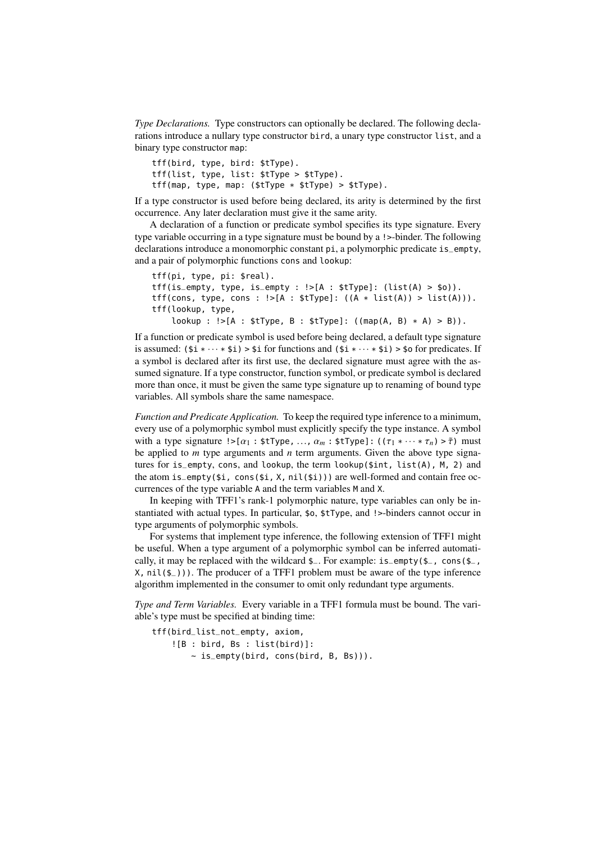*Type Declarations.* Type constructors can optionally be declared. The following declarations introduce a nullary type constructor bird, a unary type constructor list, and a binary type constructor map:

```
tff(bird, type, bird: $tType).
tff(list, type, list: $tType > $tType).
tff(map, type, map: ($tType * $tType) > $tType).
```
If a type constructor is used before being declared, its arity is determined by the first occurrence. Any later declaration must give it the same arity.

A declaration of a function or predicate symbol specifies its type signature. Every type variable occurring in a type signature must be bound by a !>-binder. The following declarations introduce a monomorphic constant pi, a polymorphic predicate is\_empty, and a pair of polymorphic functions cons and lookup:

```
tff(pi, type, pi: $real).
tff(is_empty, type, is_empty : !>[A : $tType]: (list(A) > $o)).
tf(cons, type, cons : !>[A : $tType]: ((A * list(A)) > list(A))).tff(lookup, type,
    lookup : !>[A : $tType, B : $tType]: ((map(A, B) * A) > B)).
```
If a function or predicate symbol is used before being declared, a default type signature is assumed:  $(\xi i * \cdots * \xi i) > \xi i$  for functions and  $(\xi i * \cdots * \xi i) > \xi o$  for predicates. If a symbol is declared after its first use, the declared signature must agree with the assumed signature. If a type constructor, function symbol, or predicate symbol is declared more than once, it must be given the same type signature up to renaming of bound type variables. All symbols share the same namespace.

*Function and Predicate Application.* To keep the required type inference to a minimum, every use of a polymorphic symbol must explicitly specify the type instance. A symbol with a type signature  $! > [\alpha_1 : \text{$t$Type}, \ldots, \alpha_m : \text{$t$Type}]: ((\tau_1 * \cdots * \tau_n) > \tilde{\tau})$  must be applied to *m* type arguments and *n* term arguments. Given the above type signatures for is\_empty, cons, and lookup, the term lookup(\$int, list(A), M, 2) and the atom is\_empty( $\sin$ , cons( $\sin X$ , nil( $\sin Y$ )) are well-formed and contain free occurrences of the type variable A and the term variables M and X.

In keeping with TFF1's rank-1 polymorphic nature, type variables can only be instantiated with actual types. In particular, \$o, \$tType, and !>-binders cannot occur in type arguments of polymorphic symbols.

For systems that implement type inference, the following extension of TFF1 might be useful. When a type argument of a polymorphic symbol can be inferred automatically, it may be replaced with the wildcard  $\epsilon$ . For example: is\_empty( $\epsilon$ <sub>-</sub>, cons( $\epsilon$ <sub>-</sub>,  $X$ , nil( $\xi$ )). The producer of a TFF1 problem must be aware of the type inference algorithm implemented in the consumer to omit only redundant type arguments.

*Type and Term Variables.* Every variable in a TFF1 formula must be bound. The variable's type must be specified at binding time:

```
tff(bird_list_not_empty, axiom,
    ![B : bird, Bs : list(bird)]:
        ~\sim is_empty(bird, cons(bird, B, Bs))).
```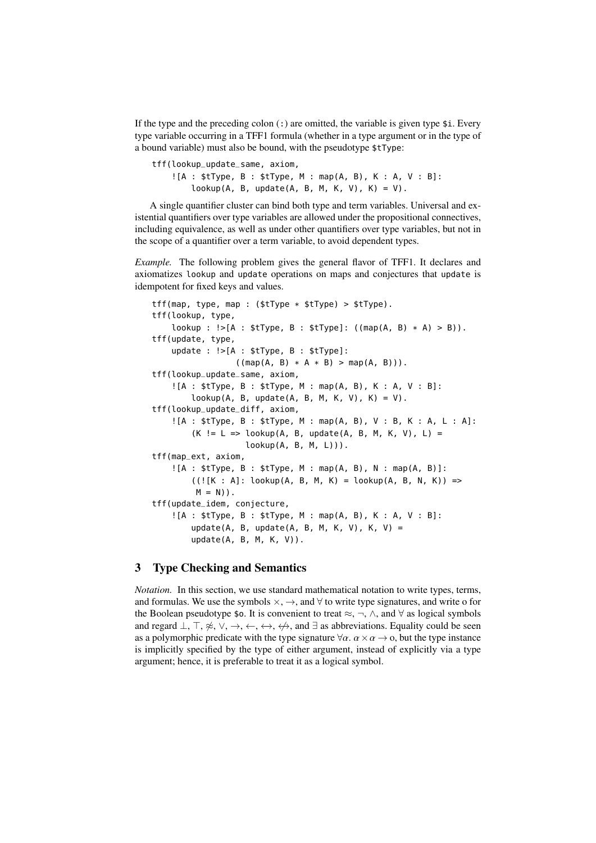If the type and the preceding colon  $($ :) are omitted, the variable is given type  $\ddot{\mathbf{s}}$ i. Every type variable occurring in a TFF1 formula (whether in a type argument or in the type of a bound variable) must also be bound, with the pseudotype \$tType:

```
tff(lookup_update_same, axiom,
    ![A : $tType, B : $tType, M : map(A, B), K : A, V : B]:
        lookup(A, B, update(A, B, M, K, V), K) = V).
```
A single quantifier cluster can bind both type and term variables. Universal and existential quantifiers over type variables are allowed under the propositional connectives, including equivalence, as well as under other quantifiers over type variables, but not in the scope of a quantifier over a term variable, to avoid dependent types.

*Example.* The following problem gives the general flavor of TFF1. It declares and axiomatizes lookup and update operations on maps and conjectures that update is idempotent for fixed keys and values.

```
tff(map, type, map : ($tType * $tType) > $tType).
tff(lookup, type,
    lookup : ! > [A : $tType, B : $tType]: ((map(A, B) * A) > B)).tff(update, type,
    update : !>[A : $tType, B : $tType]:
                  ((map(A, B) * A * B) > map(A, B))).tff(lookup_update_same, axiom,
    ![A : $tType, B : $tType, M : map(A, B), K : A, V : B]:
        \text{lookup}(A, B, \text{update}(A, B, M, K, V), K) = V).tff(lookup_update_diff, axiom,
    ![A : $tType, B : $tType, M : map(A, B), V : B, K : A, L : A]:
        (K := L => \text{lookup}(A, B, \text{update}(A, B, M, K, V), L) =lookup(A, B, M, L))).
tff(map_ext, axiom,
    ![A : $tType, B : $tType, M : map(A, B), N : map(A, B)]:((![K : A]: \text{lookup}(A, B, M, K) = \text{lookup}(A, B, N, K)) =>
         M = N)).
tff(update_idem, conjecture,
    ![A : $tType, B : $tType, M : map(A, B), K : A, V : B]:
        update(A, B, update(A, B, M, K, V), K, V) =
        update(A, B, M, K, V)).
```
## 3 Type Checking and Semantics

*Notation.* In this section, we use standard mathematical notation to write types, terms, and formulas. We use the symbols  $\times$ ,  $\rightarrow$ , and  $\forall$  to write type signatures, and write o for the Boolean pseudotype \$0. It is convenient to treat  $\approx$ ,  $\neg$ ,  $\wedge$ , and  $\forall$  as logical symbols and regard  $\bot$ ,  $\top$ ,  $\not\approx$ ,  $\vee$ ,  $\rightarrow$ ,  $\leftrightarrow$ ,  $\leftrightarrow$ ,  $\not\leftrightarrow$ , and  $\exists$  as abbreviations. Equality could be seen as a polymorphic predicate with the type signature  $\forall \alpha$ .  $\alpha \times \alpha \rightarrow o$ , but the type instance is implicitly specified by the type of either argument, instead of explicitly via a type argument; hence, it is preferable to treat it as a logical symbol.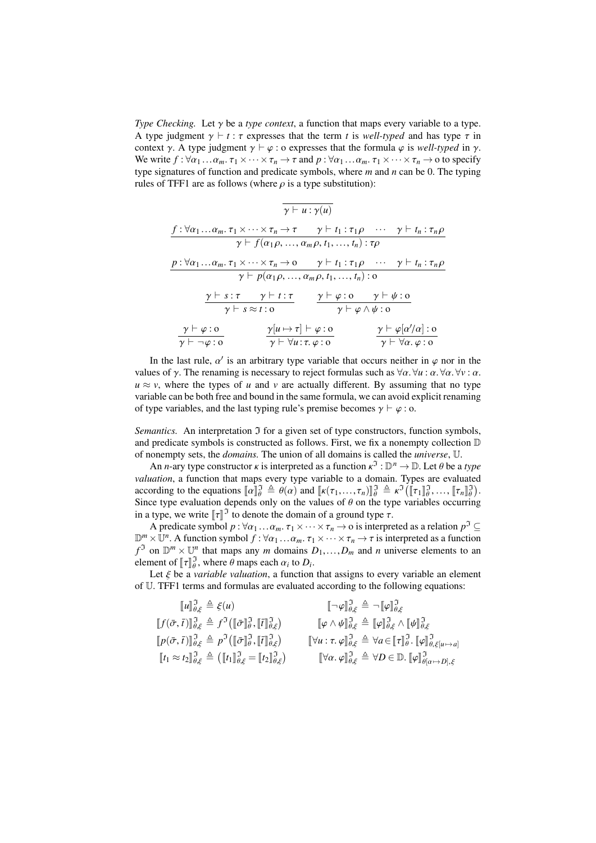*Type Checking.* Let γ be a *type context*, a function that maps every variable to a type. A type judgment  $\gamma \vdash t : \tau$  expresses that the term *t* is *well-typed* and has type  $\tau$  in context  $\gamma$ . A type judgment  $\gamma \vdash \varphi$  : o expresses that the formula  $\varphi$  is *well-typed* in  $\gamma$ . We write  $f : \forall \alpha_1 \dots \alpha_m$ .  $\tau_1 \times \cdots \times \tau_n \to \tau$  and  $p : \forall \alpha_1 \dots \alpha_m$ .  $\tau_1 \times \cdots \times \tau_n \to$  o to specify type signatures of function and predicate symbols, where *m* and *n* can be 0. The typing rules of TFF1 are as follows (where  $\rho$  is a type substitution):

$$
\gamma \vdash u : \gamma(u)
$$
\n
$$
\frac{f : \forall \alpha_1 ... \alpha_m. \tau_1 \times \cdots \times \tau_n \to \tau \qquad \gamma \vdash t_1 : \tau_1 \rho \qquad \cdots \qquad \gamma \vdash t_n : \tau_n \rho}{\gamma \vdash f(\alpha_1 \rho, ..., \alpha_m \rho, t_1, ..., t_n) : \tau \rho}
$$
\n
$$
\frac{p : \forall \alpha_1 ... \alpha_m. \tau_1 \times \cdots \times \tau_n \to 0 \qquad \gamma \vdash t_1 : \tau_1 \rho \qquad \cdots \qquad \gamma \vdash t_n : \tau_n \rho}{\gamma \vdash p(\alpha_1 \rho, ..., \alpha_m \rho, t_1, ..., t_n) : 0}
$$
\n
$$
\frac{\gamma \vdash s : \tau \qquad \gamma \vdash t : \tau}{\gamma \vdash s \approx t : 0} \qquad \frac{\gamma \vdash \varphi : 0 \qquad \gamma \vdash \psi : 0}{\gamma \vdash \varphi \wedge \psi : 0}
$$
\n
$$
\frac{\gamma \vdash \varphi : 0}{\gamma \vdash \neg \varphi : 0} \qquad \frac{\gamma[u \mapsto \tau] \vdash \varphi : 0}{\gamma \vdash \forall u : \tau, \varphi : 0} \qquad \frac{\gamma \vdash \varphi[\alpha'/\alpha] : 0}{\gamma \vdash \forall \alpha. \varphi : 0}
$$

In the last rule,  $\alpha'$  is an arbitrary type variable that occurs neither in  $\varphi$  nor in the les of  $\alpha$ . The renaming is necessary to reject formulas such as  $\forall \alpha \forall u : \alpha \forall \alpha \forall v : \alpha$ values of  $\gamma$ . The renaming is necessary to reject formulas such as  $\forall \alpha$ .  $\forall u : \alpha$ .  $\forall \alpha$ .  $\forall v : \alpha$ .  $u \approx v$ , where the types of *u* and *v* are actually different. By assuming that no type variable can be both free and bound in the same formula, we can avoid explicit renaming of type variables, and the last typing rule's premise becomes  $\gamma \vdash \varphi : o$ .

*Semantics.* An interpretation  $\Im$  for a given set of type constructors, function symbols, and predicate symbols is constructed as follows. First, we fix a nonempty collection D of nonempty sets, the *domains.* The union of all domains is called the *universe*, U.

An *n*-ary type constructor  $\kappa$  is interpreted as a function  $\kappa^3$ :  $\mathbb{D}^n \to \mathbb{D}$ . Let  $\theta$  be a *type*<br>*ustion* a function that mans every type variable to a domain. Types are evaluated *valuation*, a function that maps every type variable to a domain. Types are evaluated according to the equations  $[\![\alpha]\!]_{\theta}^{\eta} \triangleq \theta(\alpha)$  and  $[\![\kappa(\tau_1, \ldots, \tau_n)]\!]_{\theta}^{\eta} \triangleq \kappa^{\eta} (\[\![\tau_1]\!]_{\theta}^{\eta}, \ldots, [\![\tau_n]\!]_{\theta}^{\eta})$ . according to the equations  $\llbracket \alpha \rrbracket_{\theta}^2 = \theta(\alpha)$  and  $\llbracket \kappa(\tau_1, ..., \tau_n) \rrbracket_{\theta}^2 = \kappa^* (\llbracket \tau_1 \rrbracket_{\theta}^2, ..., \llbracket \tau_n \rrbracket_{\theta}^2)$ .<br>Since type evaluation depends only on the values of  $\theta$  on the type variables occurring<br>i in a type, we write  $\llbracket \tau \rrbracket^3$  to denote the domain of a ground type  $\tau$ .<br>A predicate symbol  $n : \forall \alpha \in \mathcal{X}$ ,  $\forall x \in \mathcal{X}$  a is interpre-

A predicate symbol  $p : \forall \alpha_1 ... \alpha_m$ .  $\tau_1 \times \cdots \times \tau_n \to \infty$  is interpreted as a relation  $p^{\mathfrak{I}} \subseteq \vee \mathbb{R}^n$ . A function symbol  $f : \forall \alpha \in \mathbb{R}^n$ ,  $\forall \alpha \in \mathbb{R}^n$ ,  $\forall \alpha \in \mathbb{R}^n$ ,  $\forall \alpha \in \mathbb{R}^n$ ,  $\forall \alpha \in \mathbb{R}^n$ ,  $\mathbb{D}^m \times \mathbb{U}^n$ . A function symbol  $f : \forall \alpha_1 ... \alpha_m$ .  $\tau_1 \times \cdots \times \tau_n \to \tau$  is interpreted as a function  $f^{\mathfrak{I}}$  on  $\mathbb{D}^m \times \mathbb{U}^n$  that maps any *m* domains  $D_1,...,D_m$  and *n* universe elements to an element of element of  $[\![\tau]\!]_{\theta}^{\mathfrak{I}}$ , where  $\theta$  maps each  $\alpha_i$  to  $D_i$ .<br>Let  $\xi$  be a variable valuation a function

Let  $\xi$  be a *variable valuation*, a function that assigns to every variable an element  $\Gamma$  TEE1 terms and formulas are evaluated according to the following equations: of U. TFF1 terms and formulas are evaluated according to the following equations:

$$
\llbracket u \rrbracket^{\mathfrak{J}}_{\theta,\xi} \triangleq \xi(u) \qquad \qquad \llbracket \neg \varphi \rrbracket^{\mathfrak{J}}_{\theta,\xi} \triangleq \neg \llbracket \varphi \rrbracket^{\mathfrak{J}}_{\theta,\xi} \llbracket f(\bar{\sigma},\bar{t}) \rrbracket^{\mathfrak{J}}_{\theta,\xi} \triangleq f^{\mathfrak{I}}(\llbracket \bar{\sigma} \rrbracket^{\mathfrak{J}}_{\theta,\zeta}, \llbracket \bar{t} \rrbracket^{\mathfrak{J}}_{\theta,\xi}) \qquad \qquad \llbracket \varphi \wedge \psi \rrbracket^{\mathfrak{J}}_{\theta,\xi} \triangleq \llbracket \varphi \rrbracket^{\mathfrak{J}}_{\theta,\xi} \wedge \llbracket \psi \rrbracket^{\mathfrak{J}}_{\theta,\xi} \llbracket p(\bar{\sigma},\bar{t}) \rrbracket^{\mathfrak{J}}_{\theta,\xi} \triangleq p^{\mathfrak{I}}(\llbracket \bar{\sigma} \rrbracket^{\mathfrak{J}}_{\theta,\zeta}, \llbracket \bar{t} \rrbracket^{\mathfrak{J}}_{\theta,\xi}) \qquad \qquad \llbracket \forall u : \tau, \varphi \rrbracket^{\mathfrak{J}}_{\theta,\xi} \triangleq \forall a \in \llbracket \tau \rrbracket^{\mathfrak{J}}_{\theta,\zeta} \llbracket \varphi \rrbracket^{\mathfrak{J}}_{\theta,\zeta[u \mapsto a]} \llbracket t_1 \approx t_2 \rrbracket^{\mathfrak{J}}_{\theta,\xi} \triangleq (\llbracket t_1 \rrbracket^{\mathfrak{J}}_{\theta,\xi} = \llbracket t_2 \rrbracket^{\mathfrak{J}}_{\theta,\xi}) \qquad \qquad \llbracket \forall \alpha, \varphi \rrbracket^{\mathfrak{J}}_{\theta,\xi} \triangleq \forall D \in \mathbb{D}. \llbracket \varphi \rrbracket^{\mathfrak{J}}_{\theta(\alpha \mapsto D),\xi}
$$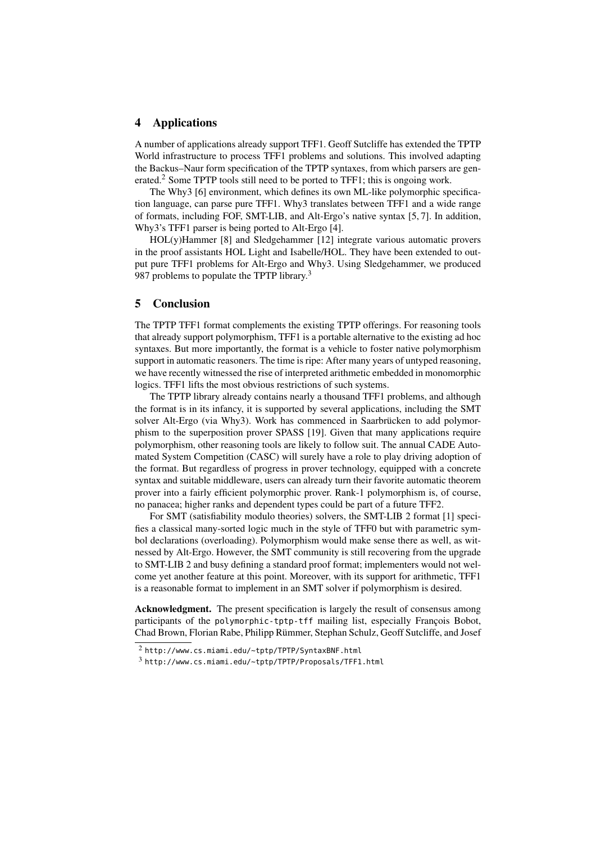## 4 Applications

A number of applications already support TFF1. Geoff Sutcliffe has extended the TPTP World infrastructure to process TFF1 problems and solutions. This involved adapting the Backus–Naur form specification of the TPTP syntaxes, from which parsers are generated.<sup>2</sup> Some TPTP tools still need to be ported to TFF1; this is ongoing work.

The Why3 [6] environment, which defines its own ML-like polymorphic specification language, can parse pure TFF1. Why3 translates between TFF1 and a wide range of formats, including FOF, SMT-LIB, and Alt-Ergo's native syntax [5, 7]. In addition, Why3's TFF1 parser is being ported to Alt-Ergo [4].

HOL(y)Hammer [8] and Sledgehammer [12] integrate various automatic provers in the proof assistants HOL Light and Isabelle/HOL. They have been extended to output pure TFF1 problems for Alt-Ergo and Why3. Using Sledgehammer, we produced 987 problems to populate the TPTP library.<sup>3</sup>

## 5 Conclusion

The TPTP TFF1 format complements the existing TPTP offerings. For reasoning tools that already support polymorphism, TFF1 is a portable alternative to the existing ad hoc syntaxes. But more importantly, the format is a vehicle to foster native polymorphism support in automatic reasoners. The time is ripe: After many years of untyped reasoning, we have recently witnessed the rise of interpreted arithmetic embedded in monomorphic logics. TFF1 lifts the most obvious restrictions of such systems.

The TPTP library already contains nearly a thousand TFF1 problems, and although the format is in its infancy, it is supported by several applications, including the SMT solver Alt-Ergo (via Why3). Work has commenced in Saarbrücken to add polymorphism to the superposition prover SPASS [19]. Given that many applications require polymorphism, other reasoning tools are likely to follow suit. The annual CADE Automated System Competition (CASC) will surely have a role to play driving adoption of the format. But regardless of progress in prover technology, equipped with a concrete syntax and suitable middleware, users can already turn their favorite automatic theorem prover into a fairly efficient polymorphic prover. Rank-1 polymorphism is, of course, no panacea; higher ranks and dependent types could be part of a future TFF2.

For SMT (satisfiability modulo theories) solvers, the SMT-LIB 2 format [1] specifies a classical many-sorted logic much in the style of TFF0 but with parametric symbol declarations (overloading). Polymorphism would make sense there as well, as witnessed by Alt-Ergo. However, the SMT community is still recovering from the upgrade to SMT-LIB 2 and busy defining a standard proof format; implementers would not welcome yet another feature at this point. Moreover, with its support for arithmetic, TFF1 is a reasonable format to implement in an SMT solver if polymorphism is desired.

Acknowledgment. The present specification is largely the result of consensus among participants of the polymorphic-tptp-tff mailing list, especially François Bobot, Chad Brown, Florian Rabe, Philipp Rümmer, Stephan Schulz, Geoff Sutcliffe, and Josef

<sup>2</sup> http://www.cs.miami.edu/~tptp/TPTP/SyntaxBNF.html

<sup>3</sup> http://www.cs.miami.edu/~tptp/TPTP/Proposals/TFF1.html